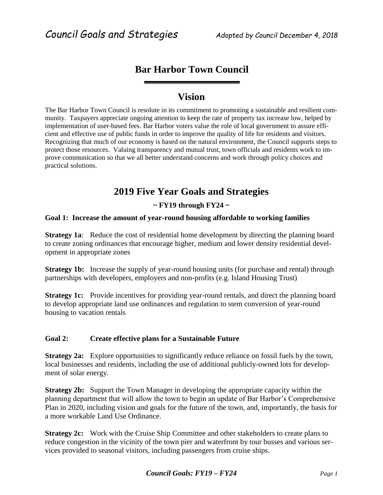# **Bar Harbor Town Council**

## **Vision**

The Bar Harbor Town Council is resolute in its commitment to promoting a sustainable and resilient community. Taxpayers appreciate ongoing attention to keep the rate of property tax increase low, helped by implementation of user-based fees. Bar Harbor voters value the role of local government to assure efficient and effective use of public funds in order to improve the quality of life for residents and visitors. Recognizing that much of our economy is based on the natural environment, the Council supports steps to protect those resources. Valuing transparency and mutual trust, town officials and residents work to improve communication so that we all better understand concerns and work through policy choices and practical solutions.

## **2019 Five Year Goals and Strategies**

### **~ FY19 through FY24 ~**

### **Goal 1: Increase the amount of year-round housing affordable to working families**

**Strategy 1a:** Reduce the cost of residential home development by directing the planning board to create zoning ordinances that encourage higher, medium and lower density residential development in appropriate zones

**Strategy 1b:** Increase the supply of year-round housing units (for purchase and rental) through partnerships with developers, employers and non-profits (e.g. Island Housing Trust)

**Strategy 1c:** Provide incentives for providing year-round rentals, and direct the planning board to develop appropriate land use ordinances and regulation to stem conversion of year-round housing to vacation rentals

### **Goal 2: Create effective plans for a Sustainable Future**

**Strategy 2a:** Explore opportunities to significantly reduce reliance on fossil fuels by the town, local businesses and residents, including the use of additional publicly-owned lots for development of solar energy.

**Strategy 2b:** Support the Town Manager in developing the appropriate capacity within the planning department that will allow the town to begin an update of Bar Harbor's Comprehensive Plan in 2020, including vision and goals for the future of the town, and, importantly, the basis for a more workable Land Use Ordinance.

**Strategy 2c:** Work with the Cruise Ship Committee and other stakeholders to create plans to reduce congestion in the vicinity of the town pier and waterfront by tour busses and various services provided to seasonal visitors, including passengers from cruise ships.